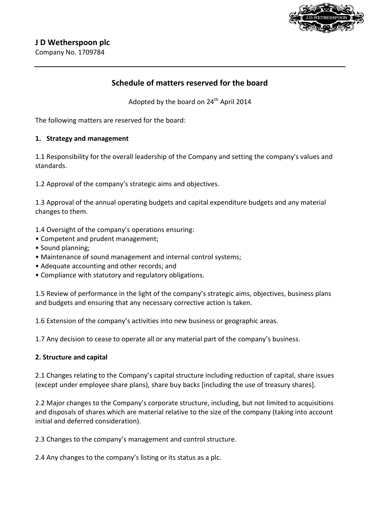

Company No. 1709784

# **Schedule of matters reserved for the board**

Adopted by the board on  $24<sup>th</sup>$  April 2014

The following matters are reserved for the board:

### **1. Strategy and management**

1.1 Responsibility for the overall leadership of the Company and setting the company's values and standards.

1.2 Approval of the company's strategic aims and objectives.

1.3 Approval of the annual operating budgets and capital expenditure budgets and any material changes to them.

1.4 Oversight of the company's operations ensuring:

- Competent and prudent management;
- Sound planning:
- Maintenance of sound management and internal control systems;
- Adequate accounting and other records; and
- Compliance with statutory and regulatory obligations.

1.5 Review of performance in the light of the company's strategic aims, objectives, business plans and budgets and ensuring that any necessary corrective action is taken.

1.6 Extension of the company's activities into new business or geographic areas.

1.7 Any decision to cease to operate all or any material part of the company's business.

#### **2. Structure and capital**

2.1 Changes relating to the Company's capital structure including reduction of capital, share issues (except under employee share plans), share buy backs [including the use of treasury shares].

2.2 Major changes to the Company's corporate structure, including, but not limited to acquisitions and disposals of shares which are material relative to the size of the company (taking into account initial and deferred consideration).

2.3 Changes to the company's management and control structure.

2.4 Any changes to the company's listing or its status as a plc.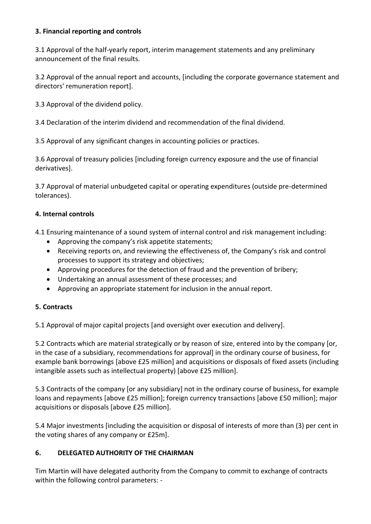# **3. Financial reporting and controls**

3.1 Approval of the half-yearly report, interim management statements and any preliminary announcement of the final results.

3.2 Approval of the annual report and accounts, [including the corporate governance statement and directors' remuneration report].

3.3 Approval of the dividend policy.

3.4 Declaration of the interim dividend and recommendation of the final dividend.

3.5 Approval of any significant changes in accounting policies or practices.

3.6 Approval of treasury policies [including foreign currency exposure and the use of financial derivatives].

3.7 Approval of material unbudgeted capital or operating expenditures (outside pre-determined tolerances).

### **4. Internal controls**

4.1 Ensuring maintenance of a sound system of internal control and risk management including:

- Approving the company's risk appetite statements;
- Receiving reports on, and reviewing the effectiveness of, the Company's risk and control processes to support its strategy and objectives;
- Approving procedures for the detection of fraud and the prevention of bribery;
- Undertaking an annual assessment of these processes; and
- Approving an appropriate statement for inclusion in the annual report.

### **5. Contracts**

5.1 Approval of major capital projects [and oversight over execution and delivery].

5.2 Contracts which are material strategically or by reason of size, entered into by the company [or, in the case of a subsidiary, recommendations for approval] in the ordinary course of business, for example bank borrowings [above £25 million] and acquisitions or disposals of fixed assets (including intangible assets such as intellectual property) [above £25 million].

5.3 Contracts of the company [or any subsidiary] not in the ordinary course of business, for example loans and repayments [above £25 million]; foreign currency transactions [above £50 million]; major acquisitions or disposals [above £25 million].

5.4 Major investments [including the acquisition or disposal of interests of more than (3) per cent in the voting shares of any company or £25m].

### **6. DELEGATED AUTHORITY OF THE CHAIRMAN**

Tim Martin will have delegated authority from the Company to commit to exchange of contracts within the following control parameters: -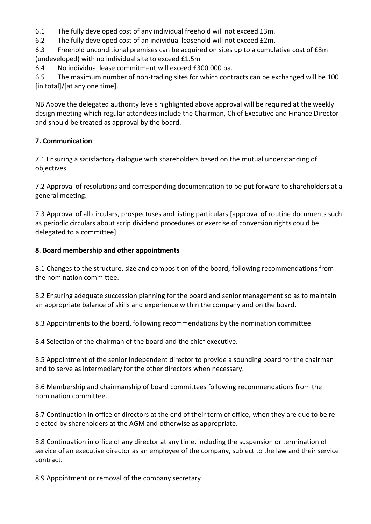6.1 The fully developed cost of any individual freehold will not exceed £3m.

6.2 The fully developed cost of an individual leasehold will not exceed £2m.

6.3 Freehold unconditional premises can be acquired on sites up to a cumulative cost of £8m (undeveloped) with no individual site to exceed £1.5m

6.4 No individual lease commitment will exceed £300,000 pa.

6.5 The maximum number of non-trading sites for which contracts can be exchanged will be 100 [in total]/[at any one time].

NB Above the delegated authority levels highlighted above approval will be required at the weekly design meeting which regular attendees include the Chairman, Chief Executive and Finance Director and should be treated as approval by the board.

# **7. Communication**

7.1 Ensuring a satisfactory dialogue with shareholders based on the mutual understanding of objectives.

7.2 Approval of resolutions and corresponding documentation to be put forward to shareholders at a general meeting.

7.3 Approval of all circulars, prospectuses and listing particulars [approval of routine documents such as periodic circulars about scrip dividend procedures or exercise of conversion rights could be delegated to a committee].

# **8**. **Board membership and other appointments**

8.1 Changes to the structure, size and composition of the board, following recommendations from the nomination committee.

8.2 Ensuring adequate succession planning for the board and senior management so as to maintain an appropriate balance of skills and experience within the company and on the board.

8.3 Appointments to the board, following recommendations by the nomination committee.

8.4 Selection of the chairman of the board and the chief executive.

8.5 Appointment of the senior independent director to provide a sounding board for the chairman and to serve as intermediary for the other directors when necessary.

8.6 Membership and chairmanship of board committees following recommendations from the nomination committee.

8.7 Continuation in office of directors at the end of their term of office, when they are due to be reelected by shareholders at the AGM and otherwise as appropriate.

8.8 Continuation in office of any director at any time, including the suspension or termination of service of an executive director as an employee of the company, subject to the law and their service contract.

8.9 Appointment or removal of the company secretary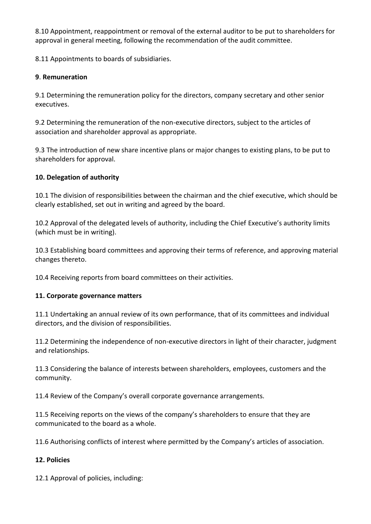8.10 Appointment, reappointment or removal of the external auditor to be put to shareholders for approval in general meeting, following the recommendation of the audit committee.

8.11 Appointments to boards of subsidiaries.

# **9**. **Remuneration**

9.1 Determining the remuneration policy for the directors, company secretary and other senior executives.

9.2 Determining the remuneration of the non-executive directors, subject to the articles of association and shareholder approval as appropriate.

9.3 The introduction of new share incentive plans or major changes to existing plans, to be put to shareholders for approval.

# **10. Delegation of authority**

10.1 The division of responsibilities between the chairman and the chief executive, which should be clearly established, set out in writing and agreed by the board.

10.2 Approval of the delegated levels of authority, including the Chief Executive's authority limits (which must be in writing).

10.3 Establishing board committees and approving their terms of reference, and approving material changes thereto.

10.4 Receiving reports from board committees on their activities.

### **11. Corporate governance matters**

11.1 Undertaking an annual review of its own performance, that of its committees and individual directors, and the division of responsibilities.

11.2 Determining the independence of non-executive directors in light of their character, judgment and relationships.

11.3 Considering the balance of interests between shareholders, employees, customers and the community.

11.4 Review of the Company's overall corporate governance arrangements.

11.5 Receiving reports on the views of the company's shareholders to ensure that they are communicated to the board as a whole.

11.6 Authorising conflicts of interest where permitted by the Company's articles of association.

### **12. Policies**

12.1 Approval of policies, including: